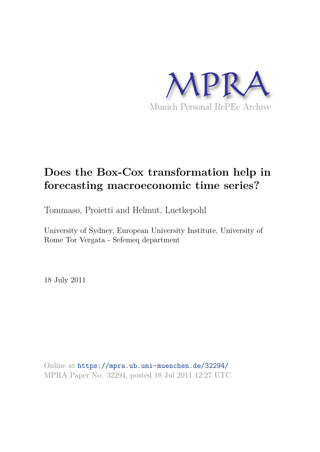

# **Does the Box-Cox transformation help in forecasting macroeconomic time series?**

Tommaso, Proietti and Helmut, Luetkepohl

University of Sydney, European University Institute, University of Rome Tor Vergata - Sefemeq department

18 July 2011

Online at https://mpra.ub.uni-muenchen.de/32294/ MPRA Paper No. 32294, posted 18 Jul 2011 12:27 UTC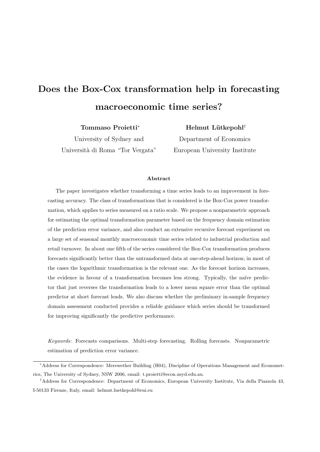# Does the Box-Cox transformation help in forecasting macroeconomic time series?

Tommaso Proietti<sup>∗</sup> University of Sydney and Università di Roma "Tor Vergata" Helmut Lütkepohl<sup>†</sup>

Department of Economics European University Institute

#### Abstract

The paper investigates whether transforming a time series leads to an improvement in forecasting accuracy. The class of transformations that is considered is the Box-Cox power transformation, which applies to series measured on a ratio scale. We propose a nonparametric approach for estimating the optimal transformation parameter based on the frequency domain estimation of the prediction error variance, and also conduct an extensive recursive forecast experiment on a large set of seasonal monthly macroeconomic time series related to industrial production and retail turnover. In about one fifth of the series considered the Box-Cox transformation produces forecasts significantly better than the untransformed data at one-step-ahead horizon; in most of the cases the logarithmic transformation is the relevant one. As the forecast horizon increases, the evidence in favour of a transformation becomes less strong. Typically, the naïve predictor that just reverses the transformation leads to a lower mean square error than the optimal predictor at short forecast leads. We also discuss whether the preliminary in-sample frequency domain assessment conducted provides a reliable guidance which series should be transformed for improving significantly the predictive performance.

Keywords: Forecasts comparisons. Multi-step forecasting. Rolling forecasts. Nonparametric estimation of prediction error variance.

<sup>∗</sup>Address for Correspondence: Merewether Building (H04), Discipline of Operations Management and Econometrics, The University of Sydney, NSW 2006, email: t.proietti@econ.usyd.edu.au.

<sup>†</sup>Address for Correspondence: Department of Economics, European University Institute, Via della Piazzola 43, I-50133 Firenze, Italy, email: helmut.luetkepohl@eui.eu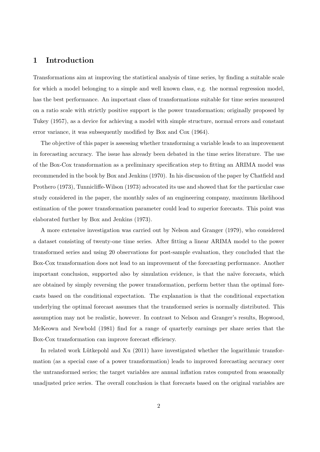### 1 Introduction

Transformations aim at improving the statistical analysis of time series, by finding a suitable scale for which a model belonging to a simple and well known class, e.g. the normal regression model, has the best performance. An important class of transformations suitable for time series measured on a ratio scale with strictly positive support is the power transformation; originally proposed by Tukey (1957), as a device for achieving a model with simple structure, normal errors and constant error variance, it was subsequently modified by Box and Cox (1964).

The objective of this paper is assessing whether transforming a variable leads to an improvement in forecasting accuracy. The issue has already been debated in the time series literature. The use of the Box-Cox transformation as a preliminary specification step to fitting an ARIMA model was recommended in the book by Box and Jenkins (1970). In his discussion of the paper by Chatfield and Prothero (1973), Tunnicliffe-Wilson (1973) advocated its use and showed that for the particular case study considered in the paper, the monthly sales of an engineering company, maximum likelihood estimation of the power transformation parameter could lead to superior forecasts. This point was elaborated further by Box and Jenkins (1973).

A more extensive investigation was carried out by Nelson and Granger (1979), who considered a dataset consisting of twenty-one time series. After fitting a linear ARIMA model to the power transformed series and using 20 observations for post-sample evaluation, they concluded that the Box-Cox transformation does not lead to an improvement of the forecasting performance. Another important conclusion, supported also by simulation evidence, is that the naïve forecasts, which are obtained by simply reversing the power transformation, perform better than the optimal forecasts based on the conditional expectation. The explanation is that the conditional expectation underlying the optimal forecast assumes that the transformed series is normally distributed. This assumption may not be realistic, however. In contrast to Nelson and Granger's results, Hopwood, McKeown and Newbold (1981) find for a range of quarterly earnings per share series that the Box-Cox transformation can improve forecast efficiency.

In related work Lütkepohl and Xu  $(2011)$  have investigated whether the logarithmic transformation (as a special case of a power transformation) leads to improved forecasting accuracy over the untransformed series; the target variables are annual inflation rates computed from seasonally unadjusted price series. The overall conclusion is that forecasts based on the original variables are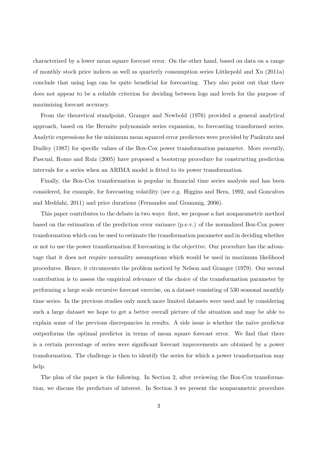characterized by a lower mean square forecast error. On the other hand, based on data on a range of monthly stock price indices as well as quarterly consumption series Lütkepohl and Xu  $(2011a)$ conclude that using logs can be quite beneficial for forecasting. They also point out that there does not appear to be a reliable criterion for deciding between logs and levels for the purpose of maximizing forecast accuracy.

From the theoretical standpoint, Granger and Newbold (1976) provided a general analytical approach, based on the Hermite polynomials series expansion, to forecasting transformed series. Analytic expressions for the minimum mean squared error predictors were provided by Pankratz and Dudley (1987) for specific values of the Box-Cox power transformation parameter. More recently, Pascual, Romo and Ruiz (2005) have proposed a bootstrap procedure for constructing prediction intervals for a series when an ARIMA model is fitted to its power transformation.

Finally, the Box-Cox transformation is popular in financial time series analysis and has been considered, for example, for forecasting volatility (see e.g. Higgins and Bera, 1992, and Goncalves and Meddahi, 2011) and price durations (Fernandes and Grammig, 2006).

This paper contributes to the debate in two ways: first, we propose a fast nonparametric method based on the estimation of the prediction error variance (p.e.v.) of the normalized Box-Cox power transformation which can be used to estimate the transformation parameter and in deciding whether or not to use the power transformation if forecasting is the objective. Our procedure has the advantage that it does not require normality assumptions which would be used in maximum likelihood procedures. Hence, it circumvents the problem noticed by Nelson and Granger (1979). Our second contribution is to assess the empirical relevance of the choice of the transformation parameter by performing a large scale recursive forecast exercise, on a dataset consisting of 530 seasonal monthly time series. In the previous studies only much more limited datasets were used and by considering such a large dataset we hope to get a better overall picture of the situation and may be able to explain some of the previous discrepancies in results. A side issue is whether the naïve predictor outperforms the optimal predictor in terms of mean square forecast error. We find that there is a certain percentage of series were significant forecast improvements are obtained by a power transformation. The challenge is then to identify the series for which a power transformation may help.

The plan of the paper is the following. In Section 2, after reviewing the Box-Cox transformation, we discuss the predictors of interest. In Section 3 we present the nonparametric procedure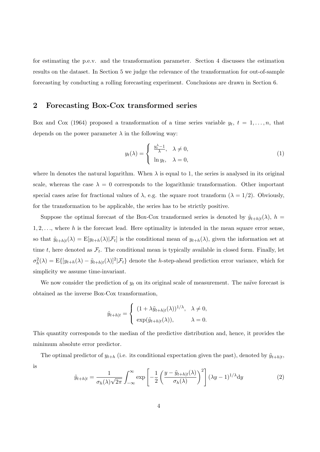for estimating the p.e.v. and the transformation parameter. Section 4 discusses the estimation results on the dataset. In Section 5 we judge the relevance of the transformation for out-of-sample forecasting by conducting a rolling forecasting experiment. Conclusions are drawn in Section 6.

### 2 Forecasting Box-Cox transformed series

Box and Cox (1964) proposed a transformation of a time series variable  $y_t$ ,  $t = 1, \ldots, n$ , that depends on the power parameter  $\lambda$  in the following way:

$$
y_t(\lambda) = \begin{cases} \frac{y_t^{\lambda} - 1}{\lambda}, & \lambda \neq 0, \\ \ln y_t, & \lambda = 0, \end{cases}
$$
 (1)

where ln denotes the natural logarithm. When  $\lambda$  is equal to 1, the series is analysed in its original scale, whereas the case  $\lambda = 0$  corresponds to the logarithmic transformation. Other important special cases arise for fractional values of  $\lambda$ , e.g. the square root transform  $(\lambda = 1/2)$ . Obviously, for the transformation to be applicable, the series has to be strictly positive.

Suppose the optimal forecast of the Box-Cox transformed series is denoted by  $\tilde{y}_{t+h|t}(\lambda)$ ,  $h =$  $1, 2, \ldots$ , where h is the forecast lead. Here optimality is intended in the mean square error sense, so that  $\tilde{y}_{t+h|t}(\lambda) = \mathbb{E}[y_{t+h}(\lambda)|\mathcal{F}_t]$  is the conditional mean of  $y_{t+h}(\lambda)$ , given the information set at time t, here denoted as  $\mathcal{F}_t$ . The conditional mean is typically available in closed form. Finally, let  $\sigma_h^2(\lambda) = \mathbb{E}\{[y_{t+h}(\lambda) - \tilde{y}_{t+h|t}(\lambda)]^2 | \mathcal{F}_t\}$  denote the h-step-ahead prediction error variance, which for simplicity we assume time-invariant.

We now consider the prediction of  $y_t$  on its original scale of measurement. The naïve forecast is obtained as the inverse Box-Cox transformation,

$$
\hat{y}_{t+h|t} = \begin{cases} (1 + \lambda \tilde{y}_{t+h|t}(\lambda))^{1/\lambda}, & \lambda \neq 0, \\ \exp(\tilde{y}_{t+h|t}(\lambda)), & \lambda = 0. \end{cases}
$$

This quantity corresponds to the median of the predictive distribution and, hence, it provides the minimum absolute error predictor.

The optimal predictor of  $y_{t+h}$  (i.e. its conditional expectation given the past), denoted by  $\tilde{y}_{t+h|t}$ , is

$$
\tilde{y}_{t+h|t} = \frac{1}{\sigma_h(\lambda)\sqrt{2\pi}} \int_{-\infty}^{\infty} \exp\left[-\frac{1}{2}\left(\frac{y-\tilde{y}_{t+h|t}(\lambda)}{\sigma_h(\lambda)}\right)^2\right](\lambda y - 1)^{1/\lambda} dy \tag{2}
$$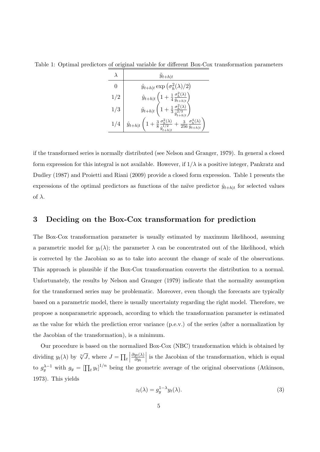Table 1: Optimal predictors of original variable for different Box-Cox transformation parameters

|     | $\tilde{y}_{t+h t}$                                                                                                                                                                                                                        |
|-----|--------------------------------------------------------------------------------------------------------------------------------------------------------------------------------------------------------------------------------------------|
|     | $\hat{y}_{t+h t} \exp\left(\sigma_h^2(\lambda)/2\right)$                                                                                                                                                                                   |
|     |                                                                                                                                                                                                                                            |
| 1/3 | $\begin{array}{l} \hat{y}_{t+h t} \left(1+\frac{1}{4}\frac{\sigma^2_h(\lambda)}{\hat{y}_{t+h t}}\right) \\ \hat{y}_{t+h t} \left(1+\frac{1}{3}\frac{\sigma^2_h(\lambda)}{\hat{y}^{2/3}_{t+h t}}\right) \end{array}$<br>$\hat{y}_{t+h t}$ ( |
| 1/4 | $\hat{y}_{t+h t}\left(1+\frac{3}{8}\frac{\sigma^2_h(\lambda)}{\hat{y}^{1/2}_{t+h t}}\right)$<br>$+ \frac{3}{256}\frac{\circ_h}{\hat{y}_{t+h t}}$                                                                                           |

if the transformed series is normally distributed (see Nelson and Granger, 1979). In general a closed form expression for this integral is not available. However, if  $1/\lambda$  is a positive integer, Pankratz and Dudley (1987) and Proietti and Riani (2009) provide a closed form expression. Table 1 presents the expressions of the optimal predictors as functions of the naïve predictor  $\hat{y}_{t+h|t}$  for selected values of  $\lambda$ .

#### 3 Deciding on the Box-Cox transformation for prediction

The Box-Cox transformation parameter is usually estimated by maximum likelihood, assuming a parametric model for  $y_t(\lambda)$ ; the parameter  $\lambda$  can be concentrated out of the likelihood, which is corrected by the Jacobian so as to take into account the change of scale of the observations. This approach is plausible if the Box-Cox transformation converts the distribution to a normal. Unfortunately, the results by Nelson and Granger (1979) indicate that the normality assumption for the transformed series may be problematic. Moreover, even though the forecasts are typically based on a parametric model, there is usually uncertainty regarding the right model. Therefore, we propose a nonparametric approach, according to which the transformation parameter is estimated as the value for which the prediction error variance (p.e.v.) of the series (after a normalization by the Jacobian of the transformation), is a minimum.

Our procedure is based on the normalized Box-Cox (NBC) transformation which is obtained by dividing  $y_t(\lambda)$  by  $\sqrt[n]{J}$ , where  $J = \prod_t$  $\partial y_t(\lambda)$  $\partial y_t$ is the Jacobian of the transformation, which is equal to  $g_y^{\lambda-1}$  with  $g_y = \prod_t y_t^{1/n}$  being the geometric average of the original observations (Atkinson, 1973). This yields

$$
z_t(\lambda) = g_y^{1-\lambda} y_t(\lambda). \tag{3}
$$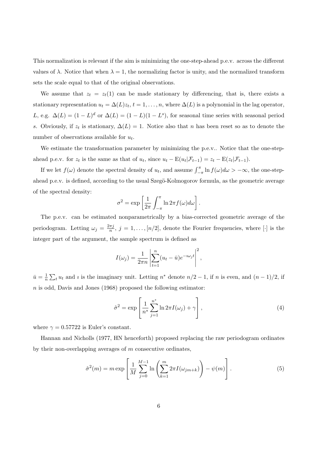This normalization is relevant if the aim is minimizing the one-step-ahead p.e.v. across the different values of  $\lambda$ . Notice that when  $\lambda = 1$ , the normalizing factor is unity, and the normalized transform sets the scale equal to that of the original observations.

We assume that  $z_t = z_t(1)$  can be made stationary by differencing, that is, there exists a stationary representation  $u_t = \Delta(L)z_t$ ,  $t = 1, \ldots, n$ , where  $\Delta(L)$  is a polynomial in the lag operator, L, e.g.  $\Delta(L) = (1 - L)^d$  or  $\Delta(L) = (1 - L)(1 - L^s)$ , for seasonal time series with seasonal period s. Obviously, if  $z_t$  is stationary,  $\Delta(L) = 1$ . Notice also that n has been reset so as to denote the number of observations available for  $u_t$ .

We estimate the transformation parameter by minimizing the p.e.v.. Notice that the one-stepahead p.e.v. for  $z_t$  is the same as that of  $u_t$ , since  $u_t - \mathbb{E}(u_t | \mathcal{F}_{t-1}) = z_t - \mathbb{E}(z_t | \mathcal{F}_{t-1})$ .

If we let  $f(\omega)$  denote the spectral density of  $u_t$ , and assume  $\int_{-\pi}^{\pi} \ln f(\omega) d\omega > -\infty$ , the one-stepahead p.e.v. is defined, according to the usual Szegö-Kolmogorov formula, as the geometric average of the spectral density:

$$
\sigma^2 = \exp\left[\frac{1}{2\pi} \int_{-\pi}^{\pi} \ln 2\pi f(\omega) d\omega\right].
$$

The p.e.v. can be estimated nonparametrically by a bias-corrected geometric average of the periodogram. Letting  $\omega_j = \frac{2\pi j}{n}$  $\frac{\pi j}{n}$ ,  $j = 1, \ldots, [n/2]$ , denote the Fourier frequencies, where [·] is the integer part of the argument, the sample spectrum is defined as

$$
I(\omega_j) = \frac{1}{2\pi n} \left| \sum_{t=1}^n (u_t - \bar{u}) e^{-i\omega_j t} \right|^2,
$$

 $\bar{u} = \frac{1}{n}$  $\frac{1}{n}\sum_{t} u_t$  and *i* is the imaginary unit. Letting  $n^*$  denote  $n/2-1$ , if *n* is even, and  $(n-1)/2$ , if  $n$  is odd, Davis and Jones (1968) proposed the following estimator:

$$
\hat{\sigma}^2 = \exp\left[\frac{1}{n^*} \sum_{j=1}^{n^*} \ln 2\pi I(\omega_j) + \gamma\right],\tag{4}
$$

where  $\gamma = 0.57722$  is Euler's constant.

Hannan and Nicholls (1977, HN henceforth) proposed replacing the raw periodogram ordinates by their non-overlapping averages of  $m$  consecutive ordinates,

$$
\hat{\sigma}^2(m) = m \exp\left[\frac{1}{M} \sum_{j=0}^{M-1} \ln\left(\sum_{k=1}^m 2\pi I(\omega_{jm+k})\right) - \psi(m)\right].\tag{5}
$$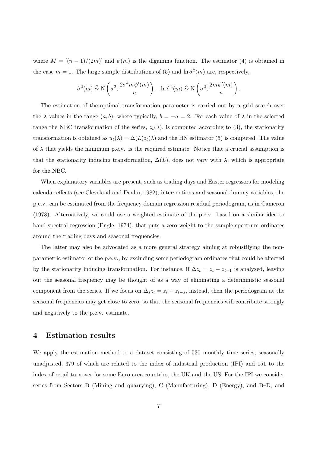where  $M = [(n-1)/(2m)]$  and  $\psi(m)$  is the digamma function. The estimator (4) is obtained in the case  $m = 1$ . The large sample distributions of (5) and  $\ln \hat{\sigma}^2(m)$  are, respectively,

$$
\hat{\sigma}^2(m) \stackrel{a}{\sim} \mathcal{N}\left(\sigma^2, \frac{2\sigma^4 m\psi'(m)}{n}\right), \ \ \ln \hat{\sigma}^2(m) \stackrel{a}{\sim} \mathcal{N}\left(\sigma^2, \frac{2m\psi'(m)}{n}\right).
$$

The estimation of the optimal transformation parameter is carried out by a grid search over the  $\lambda$  values in the range  $(a, b)$ , where typically,  $b = -a = 2$ . For each value of  $\lambda$  in the selected range the NBC transformation of the series,  $z_t(\lambda)$ , is computed according to (3), the stationarity transformation is obtained as  $u_t(\lambda) = \Delta(L)z_t(\lambda)$  and the HN estimator (5) is computed. The value of  $\lambda$  that yields the minimum p.e.v. is the required estimate. Notice that a crucial assumption is that the stationarity inducing transformation,  $\Delta(L)$ , does not vary with  $\lambda$ , which is appropriate for the NBC.

When explanatory variables are present, such as trading days and Easter regressors for modeling calendar effects (see Cleveland and Devlin, 1982), interventions and seasonal dummy variables, the p.e.v. can be estimated from the frequency domain regression residual periodogram, as in Cameron (1978). Alternatively, we could use a weighted estimate of the p.e.v. based on a similar idea to band spectral regression (Engle, 1974), that puts a zero weight to the sample spectrum ordinates around the trading days and seasonal frequencies.

The latter may also be advocated as a more general strategy aiming at robustifying the nonparametric estimator of the p.e.v., by excluding some periodogram ordinates that could be affected by the stationarity inducing transformation. For instance, if  $\Delta z_t = z_t - z_{t-1}$  is analyzed, leaving out the seasonal frequency may be thought of as a way of eliminating a deterministic seasonal component from the series. If we focus on  $\Delta_s z_t = z_t - z_{t-s}$ , instead, then the periodogram at the seasonal frequencies may get close to zero, so that the seasonal frequencies will contribute strongly and negatively to the p.e.v. estimate.

#### 4 Estimation results

We apply the estimation method to a dataset consisting of 530 monthly time series, seasonally unadjusted, 379 of which are related to the index of industrial production (IPI) and 151 to the index of retail turnover for some Euro area countries, the UK and the US. For the IPI we consider series from Sectors B (Mining and quarrying), C (Manufacturing), D (Energy), and B–D, and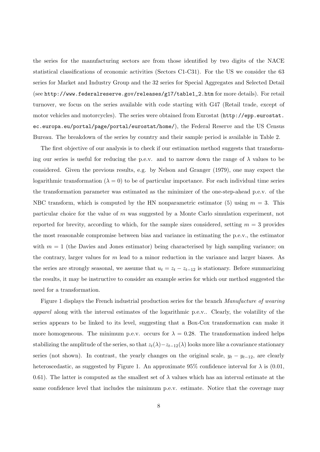the series for the manufacturing sectors are from those identified by two digits of the NACE statistical classifications of economic activities (Sectors C1-C31). For the US we consider the 63 series for Market and Industry Group and the 32 series for Special Aggregates and Selected Detail (see http://www.federalreserve.gov/releases/g17/table1\_2.htm for more details). For retail turnover, we focus on the series available with code starting with G47 (Retail trade, except of motor vehicles and motorcycles). The series were obtained from Eurostat (http://epp.eurostat. ec.europa.eu/portal/page/portal/eurostat/home/), the Federal Reserve and the US Census Bureau. The breakdown of the series by country and their sample period is available in Table 2.

The first objective of our analysis is to check if our estimation method suggests that transforming our series is useful for reducing the p.e.v. and to narrow down the range of  $\lambda$  values to be considered. Given the previous results, e.g. by Nelson and Granger (1979), one may expect the logarithmic transformation  $(\lambda = 0)$  to be of particular importance. For each individual time series the transformation parameter was estimated as the minimizer of the one-step-ahead p.e.v. of the NBC transform, which is computed by the HN nonparametric estimator (5) using  $m = 3$ . This particular choice for the value of  $m$  was suggested by a Monte Carlo simulation experiment, not reported for brevity, according to which, for the sample sizes considered, setting  $m = 3$  provides the most reasonable compromise between bias and variance in estimating the p.e.v., the estimator with  $m = 1$  (the Davies and Jones estimator) being characterised by high sampling variance; on the contrary, larger values for  $m$  lead to a minor reduction in the variance and larger biases. As the series are strongly seasonal, we assume that  $u_t = z_t - z_{t-12}$  is stationary. Before summarizing the results, it may be instructive to consider an example series for which our method suggested the need for a transformation.

Figure 1 displays the French industrial production series for the branch *Manufacture of wearing* apparel along with the interval estimates of the logarithmic p.e.v.. Clearly, the volatility of the series appears to be linked to its level, suggesting that a Box-Cox transformation can make it more homogeneous. The minimum p.e.v. occurs for  $\lambda = 0.28$ . The transformation indeed helps stabilizing the amplitude of the series, so that  $z_t(\lambda)-z_{t-12}(\lambda)$  looks more like a covariance stationary series (not shown). In contrast, the yearly changes on the original scale,  $y_t - y_{t-12}$ , are clearly heteroscedastic, as suggested by Figure 1. An approximate 95% confidence interval for  $\lambda$  is (0.01, 0.61). The latter is computed as the smallest set of  $\lambda$  values which has an interval estimate at the same confidence level that includes the minimum p.e.v. estimate. Notice that the coverage may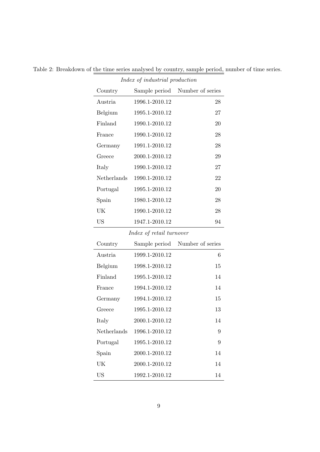| Index of industrial production |                          |                  |  |  |
|--------------------------------|--------------------------|------------------|--|--|
| Country                        | Sample period            | Number of series |  |  |
| Austria                        | 1996.1-2010.12           | 28               |  |  |
| Belgium                        | 1995.1-2010.12           | 27               |  |  |
| Finland                        | 1990.1-2010.12           | 20               |  |  |
| France                         | 1990.1-2010.12           | 28               |  |  |
| Germany                        | 1991.1-2010.12           | 28               |  |  |
| Greece                         | 2000.1-2010.12           | 29               |  |  |
| Italy                          | 1990.1-2010.12           | 27               |  |  |
| Netherlands                    | 1990.1-2010.12           | 22               |  |  |
| Portugal                       | 1995.1-2010.12           | 20               |  |  |
| Spain                          | 1980.1-2010.12           | 28               |  |  |
| UK                             | 1990.1-2010.12           | 28               |  |  |
| <b>US</b>                      | 1947.1-2010.12           | 94               |  |  |
|                                |                          |                  |  |  |
|                                | Index of retail turnover |                  |  |  |
| Country                        | Sample period            | Number of series |  |  |
| Austria                        | 1999.1-2010.12           | 6                |  |  |
| Belgium                        | 1998.1-2010.12           | 15               |  |  |
| Finland                        | 1995.1-2010.12           | 14               |  |  |
| France                         | 1994.1-2010.12           | 14               |  |  |
| Germany                        | 1994.1-2010.12           | 15               |  |  |
| Greece                         | 1995.1-2010.12           | 13               |  |  |
| Italy                          | 2000.1-2010.12           | 14               |  |  |
| Netherlands                    | 1996.1-2010.12           | 9                |  |  |
| Portugal                       | 1995.1-2010.12           | 9                |  |  |
| Spain                          | 2000.1-2010.12           | 14               |  |  |
| UK                             | 2000.1-2010.12           | 14               |  |  |

Table 2: Breakdown of the time series analysed by country, sample period, number of time series.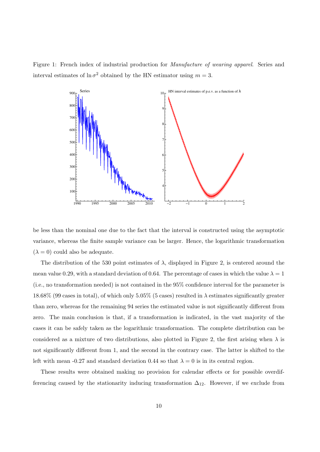Figure 1: French index of industrial production for *Manufacture of wearing apparel*. Series and interval estimates of  $\ln \sigma^2$  obtained by the HN estimator using  $m = 3$ .



be less than the nominal one due to the fact that the interval is constructed using the asymptotic variance, whereas the finite sample variance can be larger. Hence, the logarithmic transformation  $(\lambda = 0)$  could also be adequate.

The distribution of the 530 point estimates of  $\lambda$ , displayed in Figure 2, is centered around the mean value 0.29, with a standard deviation of 0.64. The percentage of cases in which the value  $\lambda = 1$ (i.e., no transformation needed) is not contained in the 95% confidence interval for the parameter is 18.68% (99 cases in total), of which only 5.05% (5 cases) resulted in  $\lambda$  estimates significantly greater than zero, whereas for the remaining 94 series the estimated value is not significantly different from zero. The main conclusion is that, if a transformation is indicated, in the vast majority of the cases it can be safely taken as the logarithmic transformation. The complete distribution can be considered as a mixture of two distributions, also plotted in Figure 2, the first arising when  $\lambda$  is not significantly different from 1, and the second in the contrary case. The latter is shifted to the left with mean -0.27 and standard deviation 0.44 so that  $\lambda = 0$  is in its central region.

These results were obtained making no provision for calendar effects or for possible overdifferencing caused by the stationarity inducing transformation  $\Delta_{12}$ . However, if we exclude from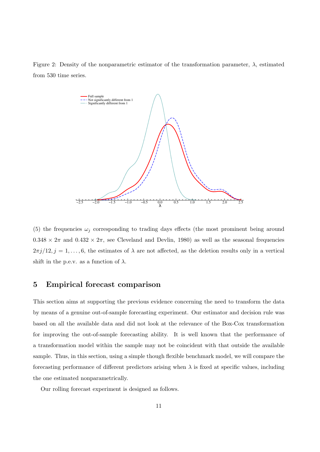Figure 2: Density of the nonparametric estimator of the transformation parameter,  $\lambda$ , estimated from 530 time series.



(5) the frequencies  $\omega_i$  corresponding to trading days effects (the most prominent being around  $0.348 \times 2\pi$  and  $0.432 \times 2\pi$ , see Cleveland and Devlin, 1980) as well as the seasonal frequencies  $2\pi j/12, j = 1, \ldots, 6$ , the estimates of  $\lambda$  are not affected, as the deletion results only in a vertical shift in the p.e.v. as a function of  $\lambda$ .

#### 5 Empirical forecast comparison

This section aims at supporting the previous evidence concerning the need to transform the data by means of a genuine out-of-sample forecasting experiment. Our estimator and decision rule was based on all the available data and did not look at the relevance of the Box-Cox transformation for improving the out-of-sample forecasting ability. It is well known that the performance of a transformation model within the sample may not be coincident with that outside the available sample. Thus, in this section, using a simple though flexible benchmark model, we will compare the forecasting performance of different predictors arising when  $\lambda$  is fixed at specific values, including the one estimated nonparametrically.

Our rolling forecast experiment is designed as follows.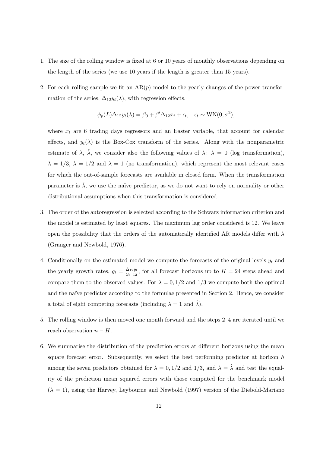- 1. The size of the rolling window is fixed at 6 or 10 years of monthly observations depending on the length of the series (we use 10 years if the length is greater than 15 years).
- 2. For each rolling sample we fit an  $AR(p)$  model to the yearly changes of the power transformation of the series,  $\Delta_{12} y_t(\lambda)$ , with regression effects,

$$
\phi_p(L)\Delta_{12}y_t(\lambda) = \beta_0 + \beta'\Delta_{12}x_t + \epsilon_t, \quad \epsilon_t \sim \text{WN}(0, \sigma^2),
$$

where  $x_t$  are 6 trading days regressors and an Easter variable, that account for calendar effects, and  $y_t(\lambda)$  is the Box-Cox transform of the series. Along with the nonparametric estimate of  $\lambda$ ,  $\hat{\lambda}$ , we consider also the following values of  $\lambda$ :  $\lambda = 0$  (log transformation),  $\lambda = 1/3$ ,  $\lambda = 1/2$  and  $\lambda = 1$  (no transformation), which represent the most relevant cases for which the out-of-sample forecasts are available in closed form. When the transformation parameter is  $\hat{\lambda}$ , we use the naïve predictor, as we do not want to rely on normality or other distributional assumptions when this transformation is considered.

- 3. The order of the autoregression is selected according to the Schwarz information criterion and the model is estimated by least squares. The maximum lag order considered is 12. We leave open the possibility that the orders of the automatically identified AR models differ with  $\lambda$ (Granger and Newbold, 1976).
- 4. Conditionally on the estimated model we compute the forecasts of the original levels  $y_t$  and the yearly growth rates,  $g_t = \frac{\Delta_{12} y_t}{y_{t-12}}$  $\frac{\Delta_{12} y_t}{y_{t-12}}$ , for all forecast horizons up to  $H = 24$  steps ahead and compare them to the observed values. For  $\lambda = 0, 1/2$  and  $1/3$  we compute both the optimal and the naïve predictor according to the formulae presented in Section 2. Hence, we consider a total of eight competing forecasts (including  $\lambda = 1$  and  $\hat{\lambda}$ ).
- 5. The rolling window is then moved one month forward and the steps 2–4 are iterated until we reach observation  $n - H$ .
- 6. We summarise the distribution of the prediction errors at different horizons using the mean square forecast error. Subsequently, we select the best performing predictor at horizon  $h$ among the seven predictors obtained for  $\lambda = 0, 1/2$  and  $1/3$ , and  $\lambda = \hat{\lambda}$  and test the equality of the prediction mean squared errors with those computed for the benchmark model  $(\lambda = 1)$ , using the Harvey, Leybourne and Newbold (1997) version of the Diebold-Mariano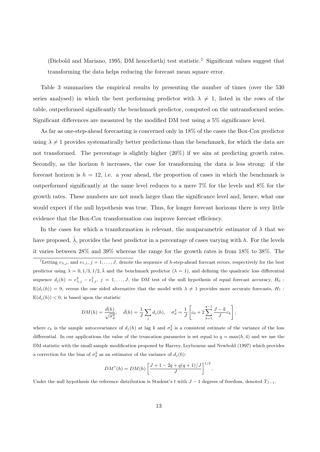(Diebold and Mariano, 1995, DM henceforth) test statistic.<sup>1</sup> Significant values suggest that transforming the data helps reducing the forecast mean square error.

Table 3 summarises the empirical results by presenting the number of times (over the 530 series analysed) in which the best performing predictor with  $\lambda \neq 1$ , listed in the rows of the table, outperformed significantly the benchmark predictor, computed on the untransformed series. Significant differences are measured by the modified DM test using a 5% significance level.

As far as one-step-ahead forecasting is concerned only in 18% of the cases the Box-Cox predictor using  $\lambda \neq 1$  provides systematically better predictions than the benchmark, for which the data are not transformed. The percentage is slightly higher (20%) if we aim at predicting growth rates. Secondly, as the horizon  $h$  increases, the case for transforming the data is less strong: if the forecast horizon is  $h = 12$ , i.e. a year ahead, the proportion of cases in which the benchmark is outperformed significantly at the same level reduces to a mere 7% for the levels and 8% for the growth rates. These numbers are not much larger than the significance level and, hence, what one would expect if the null hypothesis was true. Thus, for longer forecast horizons there is very little evidence that the Box-Cox transformation can improve forecast efficiency.

In the cases for which a transformation is relevant, the nonparametric estimator of  $\lambda$  that we have proposed,  $\hat{\lambda}$ , provides the best predictor in a percentage of cases varying with h. For the levels it varies between 28% and 39% whereas the range for the growth rates is from 18% to 38%. The

<sup>1</sup>Letting  $e_{\lambda,j}$ , and  $e_{1,j}$ ,  $j = 1, \ldots, J$ , denote the sequence of h-step-ahead forecast errors, respectively for the best predictor using  $\lambda = 0, 1/3, 1/2, \hat{\lambda}$  and the benchmark predictor  $(\lambda = 1)$ , and defining the quadratic loss differential sequence  $d_j(h) = e_{\lambda,j}^2 - e_{1,j}^2$ ,  $j = 1,\ldots,J$ , the DM test of the null hypothesis of equal forecast accuracy,  $H_0$ :  $E(d_i(h)) = 0$ , versus the one sided alternative that the model with  $\lambda \neq 1$  provides more accurate forecasts,  $H_1$ :  $E(d_i(h)) < 0$ , is based upon the statistic

$$
DM(h) = \frac{\bar{d}(h)}{\sqrt{\sigma_d^2}}, \quad \bar{d}(h) = \frac{1}{J} \sum_j d_j(h), \quad \sigma_d^2 = \frac{1}{J} \left[ c_0 + 2 \sum_{k=1}^{q-1} \frac{J-k}{J} c_k \right],
$$

where  $c_k$  is the sample autocovariance of  $d_j(h)$  at lag k and  $\sigma_d^2$  is a consistent estimate of the variance of the loss differential. In our applications the value of the truncation parameter is set equal to  $q = \max(h, 4)$  and we use the DM statistic with the small sample modification proposed by Harvey, Leybourne and Newbold (1997) which provides a correction for the bias of  $\sigma_d^2$  as an estimator of the variance of  $d_j(h)$ :

$$
DM^{*}(h) = DM(h) \left[ \frac{J + 1 - 2q + q(q+1)/J}{J} \right]^{1/2}.
$$

Under the null hypothesis the reference distribution is Student's t with  $J-1$  degrees of freedom, denoted  $T_{J-1}$ .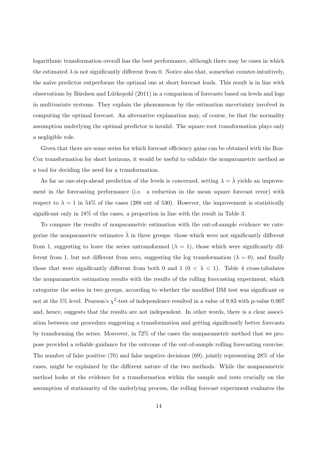logarithmic transformation overall has the best performance, although there may be cases in which the estimated  $\lambda$  is not significantly different from 0. Notice also that, somewhat counter-intuitively, the na¨ıve predictor outperforms the optimal one at short forecast leads. This result is in line with observations by Bårdsen and Lütkepohl (2011) in a comparison of forecasts based on levels and logs in multivariate systems. They explain the phenomenon by the estimation uncertainty involved in computing the optimal forecast. An alternative explanation may, of course, be that the normality assumption underlying the optimal predictor is invalid. The square root transformation plays only a negligible role.

Given that there are some series for which forecast efficiency gains can be obtained with the Box-Cox transformation for short horizons, it would be useful to validate the nonparametric method as a tool for deciding the need for a transformation.

As far as one-step-ahead prediction of the levels is concerned, setting  $\lambda = \hat{\lambda}$  yields an improvement in the forecasting performance (i.e. a reduction in the mean square forecast error) with respect to  $\lambda = 1$  in 54% of the cases (288 out of 530). However, the improvement is statistically significant only in 18% of the cases, a proportion in line with the result in Table 3.

To compare the results of nonparametric estimation with the out-of-sample evidence we categorize the nonparametric estimates  $\hat{\lambda}$  in three groups: those which were not significantly different from 1, suggesting to leave the series untransformed  $(\lambda = 1)$ , those which were significantly different from 1, but not different from zero, suggesting the log transformation ( $\lambda = 0$ ), and finally those that were significantly different from both 0 and 1 ( $0 < \lambda < 1$ ). Table 4 cross-tabulates the nonparametric estimation results with the results of the rolling forecasting experiment, which categorize the series in two groups, according to whether the modified DM test was significant or not at the 5% level. Pearson's  $\chi^2$ -test of independence resulted in a value of 9.83 with p-value 0.007 and, hence, suggests that the results are not independent. In other words, there is a clear association between our procedure suggesting a transformation and getting significantly better forecasts by transforming the series. Moreover, in 72% of the cases the nonparametric method that we propose provided a reliable guidance for the outcome of the out-of-sample rolling forecasting exercise. The number of false positive (70) and false negative decisions (69), jointly representing 28% of the cases, might be explained by the different nature of the two methods. While the nonparametric method looks at the evidence for a transformation within the sample and rests crucially on the assumption of stationarity of the underlying process, the rolling forecast experiment evaluates the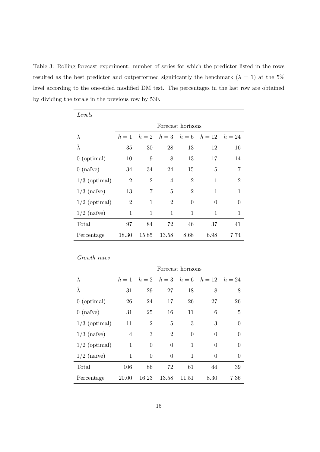Table 3: Rolling forecast experiment: number of series for which the predictor listed in the rows resulted as the best predictor and outperformed significantly the benchmark  $(\lambda = 1)$  at the 5% level according to the one-sided modified DM test. The percentages in the last row are obtained by dividing the totals in the previous row by 530.

| Levels              |                   |                |                |                |                                           |                |
|---------------------|-------------------|----------------|----------------|----------------|-------------------------------------------|----------------|
|                     | Forecast horizons |                |                |                |                                           |                |
| $\lambda$           | $h=1$             |                |                |                | $h = 2$ $h = 3$ $h = 6$ $h = 12$ $h = 24$ |                |
| $\ddot{\lambda}$    | 35                | 30             | 28             | 13             | 12                                        | 16             |
| $0$ (optimal)       | 10                | 9              | 8              | 13             | 17                                        | 14             |
| $0 \text{ (naive)}$ | 34                | 34             | 24             | 15             | 5                                         | 7              |
| $1/3$ (optimal)     | $\overline{2}$    | $\overline{2}$ | 4              | $\overline{2}$ | 1                                         | $\overline{2}$ |
| $1/3$ (naïve)       | 13                | 7              | 5              | $\overline{2}$ | 1                                         | 1              |
| $1/2$ (optimal)     | $\overline{2}$    | 1              | $\overline{2}$ | $\overline{0}$ | $\theta$                                  | 0              |
| $1/2$ (naïve)       | $\mathbf{1}$      | 1              | 1              | 1              | $\mathbf{1}$                              | 1              |
| Total               | 97                | 84             | 72             | 46             | 37                                        | 41             |
| Percentage          | 18.30             | 15.85          | 13.58          | 8.68           | 6.98                                      | 7.74           |

|                     | Forecast horizons |                |                |          |                           |          |
|---------------------|-------------------|----------------|----------------|----------|---------------------------|----------|
| $\lambda$           | $h=1$             | $h=2$          | $h=3$          |          | $h = 6$ $h = 12$ $h = 24$ |          |
| $\tilde{\lambda}$   | 31                | 29             | 27             | 18       | 8                         | 8        |
| $0$ (optimal)       | 26                | 24             | 17             | 26       | 27                        | 26       |
| $0 \text{ (naive)}$ | 31                | 25             | 16             | 11       | 6                         | 5        |
| $1/3$ (optimal)     | 11                | $\overline{2}$ | 5              | 3        | 3                         | $\Omega$ |
| $1/3$ (naïve)       | 4                 | 3              | $\overline{2}$ | $\Omega$ | $\theta$                  | $\Omega$ |
| $1/2$ (optimal)     | $\mathbf{1}$      | $\theta$       | $\theta$       | 1        | $\theta$                  | $\Omega$ |
| $1/2$ (naïve)       | 1                 | $\theta$       | $\theta$       | 1        | $\theta$                  | $\Omega$ |
| Total               | 106               | 86             | 72             | 61       | 44                        | 39       |
| Percentage          | 20.00             | 16.23          | 13.58          | 11.51    | 8.30                      | 7.36     |

Growth rates

 $\overline{a}$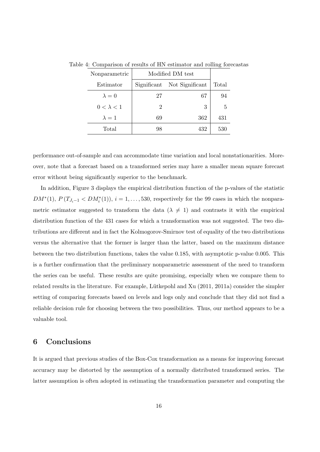| Nonparametric     | Modified DM test |                             |       |
|-------------------|------------------|-----------------------------|-------|
| Estimator         |                  | Significant Not Significant | Total |
| $\lambda = 0$     | 27               | 67                          | 94    |
| $0 < \lambda < 1$ | $\overline{2}$   | 3                           | 5     |
| $\lambda = 1$     | 69               | 362                         | 431   |
| Total             | 98               | 432                         | 530   |

Table 4: Comparison of results of HN estimator and rolling forecastas

performance out-of-sample and can accommodate time variation and local nonstationarities. Moreover, note that a forecast based on a transformed series may have a smaller mean square forecast error without being significantly superior to the benchmark.

In addition, Figure 3 displays the empirical distribution function of the p-values of the statistic  $DM^*(1)$ ,  $P(T_{J_i-1} < DM_i^*(1))$ ,  $i = 1, \ldots, 530$ , respectively for the 99 cases in which the nonparametric estimator suggested to transform the data  $(\lambda \neq 1)$  and contrasts it with the empirical distribution function of the 431 cases for which a transformation was not suggested. The two distributions are different and in fact the Kolmogorov-Smirnov test of equality of the two distributions versus the alternative that the former is larger than the latter, based on the maximum distance between the two distribution functions, takes the value 0.185, with asymptotic p-value 0.005. This is a further confirmation that the preliminary nonparametric assessment of the need to transform the series can be useful. These results are quite promising, especially when we compare them to related results in the literature. For example, Lütkepohl and Xu (2011, 2011a) consider the simpler setting of comparing forecasts based on levels and logs only and conclude that they did not find a reliable decision rule for choosing between the two possibilities. Thus, our method appears to be a valuable tool.

### 6 Conclusions

It is argued that previous studies of the Box-Cox transformation as a means for improving forecast accuracy may be distorted by the assumption of a normally distributed transformed series. The latter assumption is often adopted in estimating the transformation parameter and computing the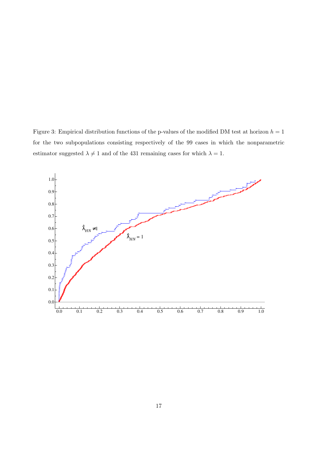Figure 3: Empirical distribution functions of the p-values of the modified DM test at horizon  $h = 1$ for the two subpopulations consisting respectively of the 99 cases in which the nonparametric estimator suggested  $\lambda \neq 1$  and of the 431 remaining cases for which  $\lambda = 1$ .

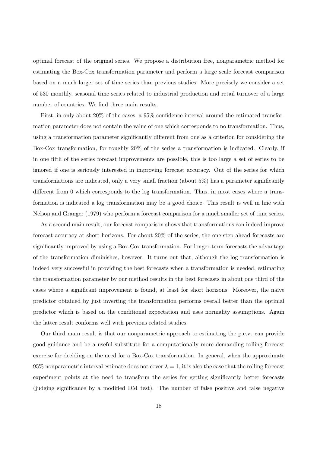optimal forecast of the original series. We propose a distribution free, nonparametric method for estimating the Box-Cox transformation parameter and perform a large scale forecast comparison based on a much larger set of time series than previous studies. More precisely we consider a set of 530 monthly, seasonal time series related to industrial production and retail turnover of a large number of countries. We find three main results.

First, in only about 20% of the cases, a 95% confidence interval around the estimated transformation parameter does not contain the value of one which corresponds to no transformation. Thus, using a transformation parameter significantly different from one as a criterion for considering the Box-Cox transformation, for roughly 20% of the series a transformation is indicated. Clearly, if in one fifth of the series forecast improvements are possible, this is too large a set of series to be ignored if one is seriously interested in improving forecast accuracy. Out of the series for which transformations are indicated, only a very small fraction (about 5%) has a parameter significantly different from 0 which corresponds to the log transformation. Thus, in most cases where a transformation is indicated a log transformation may be a good choice. This result is well in line with Nelson and Granger (1979) who perform a forecast comparison for a much smaller set of time series.

As a second main result, our forecast comparison shows that transformations can indeed improve forecast accuracy at short horizons. For about 20% of the series, the one-step-ahead forecasts are significantly improved by using a Box-Cox transformation. For longer-term forecasts the advantage of the transformation diminishes, however. It turns out that, although the log transformation is indeed very successful in providing the best forecasts when a transformation is needed, estimating the transformation parameter by our method results in the best forecasts in about one third of the cases where a significant improvement is found, at least for short horizons. Moreover, the naïve predictor obtained by just inverting the transformation performs overall better than the optimal predictor which is based on the conditional expectation and uses normality assumptions. Again the latter result conforms well with previous related studies.

Our third main result is that our nonparametric approach to estimating the p.e.v. can provide good guidance and be a useful substitute for a computationally more demanding rolling forecast exercise for deciding on the need for a Box-Cox transformation. In general, when the approximate 95% nonparametric interval estimate does not cover  $\lambda = 1$ , it is also the case that the rolling forecast experiment points at the need to transform the series for getting significantly better forecasts (judging significance by a modified DM test). The number of false positive and false negative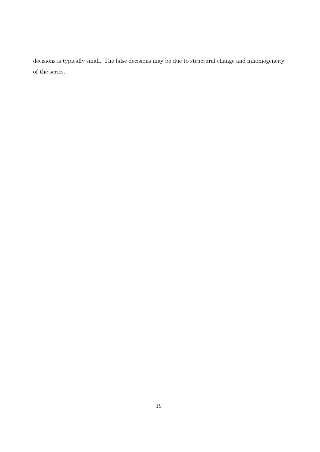decisions is typically small. The false decisions may be due to structural change and inhomogeneity of the series.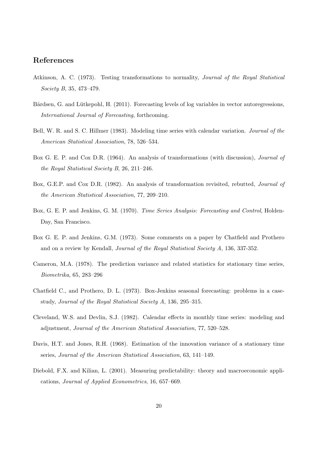#### References

- Atkinson, A. C. (1973). Testing transformations to normality, Journal of the Royal Statistical Society B, 35, 473–479.
- Bårdsen, G. and Lütkepohl, H. (2011). Forecasting levels of log variables in vector autoregressions, International Journal of Forecasting, forthcoming.
- Bell, W. R. and S. C. Hillmer (1983). Modeling time series with calendar variation. Journal of the American Statistical Association, 78, 526–534.
- Box G. E. P. and Cox D.R. (1964). An analysis of transformations (with discussion), *Journal of* the Royal Statistical Society B, 26, 211–246.
- Box, G.E.P. and Cox D.R. (1982). An analysis of transformation revisited, rebutted, Journal of the American Statistical Association, 77, 209–210.
- Box, G. E. P. and Jenkins, G. M. (1970). Time Series Analysis: Forecasting and Control, Holden-Day, San Francisco.
- Box G. E. P. and Jenkins, G.M. (1973). Some comments on a paper by Chatfield and Prothero and on a review by Kendall, Journal of the Royal Statistical Society A, 136, 337-352.
- Cameron, M.A. (1978). The prediction variance and related statistics for stationary time series, Biometrika, 65, 283–296
- Chatfield C., and Prothero, D. L. (1973). Box-Jenkins seasonal forecasting: problems in a casestudy, Journal of the Royal Statistical Society A, 136, 295–315.
- Cleveland, W.S. and Devlin, S.J. (1982). Calendar effects in monthly time series: modeling and adjustment, Journal of the American Statistical Association, 77, 520–528.
- Davis, H.T. and Jones, R.H. (1968). Estimation of the innovation variance of a stationary time series, Journal of the American Statistical Association, 63, 141–149.
- Diebold, F.X. and Kilian, L. (2001). Measuring predictability: theory and macroeconomic applications, Journal of Applied Econometrics, 16, 657–669.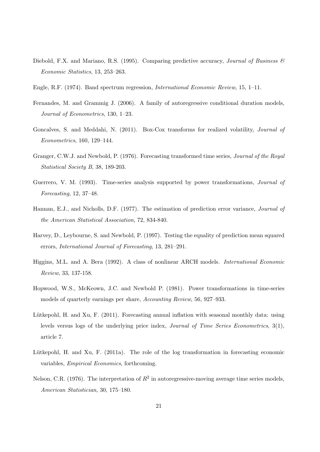- Diebold, F.X. and Mariano, R.S. (1995). Comparing predictive accuracy, Journal of Business  $\mathcal{C}$ Economic Statistics, 13, 253–263.
- Engle, R.F. (1974). Band spectrum regression, International Economic Review, 15, 1–11.
- Fernandes, M. and Grammig J. (2006). A family of autoregressive conditional duration models, Journal of Econometrics, 130, 1–23.
- Goncalves, S. and Meddahi, N. (2011). Box-Cox transforms for realized volatility, *Journal of* Econometrics, 160, 129–144.
- Granger, C.W.J. and Newbold, P. (1976). Forecasting transformed time series, Journal of the Royal Statistical Society B, 38, 189-203.
- Guerrero, V. M. (1993). Time-series analysis supported by power transformations, *Journal of* Forecasting, 12, 37–48.
- Hannan, E.J., and Nicholls, D.F. (1977). The estimation of prediction error variance, Journal of the American Statistical Association, 72, 834-840.
- Harvey, D., Leybourne, S. and Newbold, P. (1997). Testing the equality of prediction mean squared errors, International Journal of Forecasting, 13, 281–291.
- Higgins, M.L. and A. Bera (1992). A class of nonlinear ARCH models. International Economic Review, 33, 137-158.
- Hopwood, W.S., McKeown, J.C. and Newbold P. (1981). Power transformations in time-series models of quarterly earnings per share, Accounting Review, 56, 927–933.
- Lütkepohl, H. and Xu, F.  $(2011)$ . Forecasting annual inflation with seasonal monthly data: using levels versus logs of the underlying price index, Journal of Time Series Econometrics, 3(1), article 7.
- Lütkepohl, H. and Xu, F. (2011a). The role of the log transformation in forecasting economic variables, Empirical Economics, forthcoming.
- Nelson, C.R. (1976). The interpretation of  $R^2$  in autoregressive-moving average time series models, American Statistician, 30, 175–180.